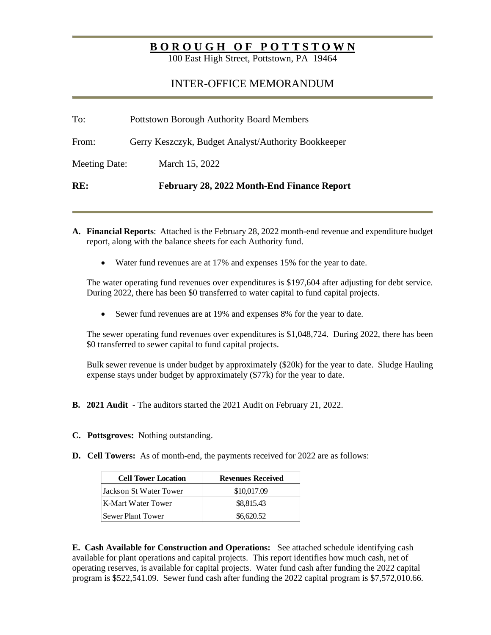## **BOROUGH OF POTTSTOWN**

100 East High Street, Pottstown, PA 19464

## INTER-OFFICE MEMORANDUM

| To:                  | <b>Pottstown Borough Authority Board Members</b>    |  |  |
|----------------------|-----------------------------------------------------|--|--|
| From:                | Gerry Keszczyk, Budget Analyst/Authority Bookkeeper |  |  |
| <b>Meeting Date:</b> | March 15, 2022                                      |  |  |
| RE:                  | February 28, 2022 Month-End Finance Report          |  |  |

- **A. Financial Reports**: Attached is the February 28, 2022 month-end revenue and expenditure budget report, along with the balance sheets for each Authority fund.
	- Water fund revenues are at 17% and expenses 15% for the year to date.

The water operating fund revenues over expenditures is \$197,604 after adjusting for debt service. During 2022, there has been \$0 transferred to water capital to fund capital projects.

• Sewer fund revenues are at 19% and expenses 8% for the year to date.

The sewer operating fund revenues over expenditures is \$1,048,724. During 2022, there has been \$0 transferred to sewer capital to fund capital projects.

Bulk sewer revenue is under budget by approximately (\$20k) for the year to date. Sludge Hauling expense stays under budget by approximately (\$77k) for the year to date.

- **B. 2021 Audit** The auditors started the 2021 Audit on February 21, 2022.
- **C. Pottsgroves:** Nothing outstanding.
- **D.** Cell Towers: As of month-end, the payments received for 2022 are as follows:

| <b>Cell Tower Location</b> | <b>Revenues Received</b> |  |
|----------------------------|--------------------------|--|
| Jackson St Water Tower     | \$10,017.09              |  |
| K-Mart Water Tower         | \$8,815.43               |  |
| Sewer Plant Tower          | \$6,620.52               |  |

**E. Cash Available for Construction and Operations:** See attached schedule identifying cash available for plant operations and capital projects. This report identifies how much cash, net of operating reserves, is available for capital projects. Water fund cash after funding the 2022 capital program is \$522,541.09. Sewer fund cash after funding the 2022 capital program is \$7,572,010.66.